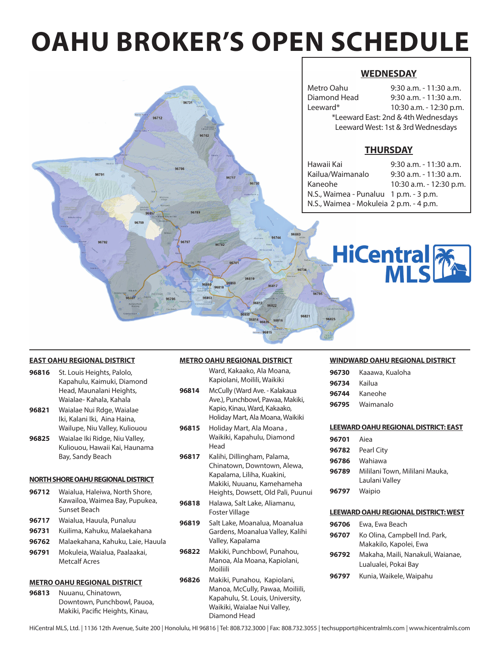# **OAHU BROKER'S OPEN SCHEDULE**

96731

96762

96789

96782

96818

36860

96853

96706

96712

#### **WEDNESDAY**

| Metro Oahu                          | $9:30$ a.m. - 11:30 a.m. |  |  |  |  |
|-------------------------------------|--------------------------|--|--|--|--|
| Diamond Head                        | 9:30 a.m. - 11:30 a.m.   |  |  |  |  |
| Leeward*                            | 10:30 a.m. - 12:30 p.m.  |  |  |  |  |
| *Leeward East: 2nd & 4th Wednesdays |                          |  |  |  |  |
| Leeward West: 1st & 3rd Wednesdays  |                          |  |  |  |  |
|                                     |                          |  |  |  |  |

#### **THURSDAY**

| $9:30$ a.m. - 11:30 a.m.                |
|-----------------------------------------|
| $9:30$ a.m. - 11:30 a.m.                |
| 10:30 a.m. - 12:30 p.m.                 |
| N.S., Waimea - Punaluu 1 p.m. - 3 p.m.  |
| N.S., Waimea - Mokuleia 2 p.m. - 4 p.m. |
|                                         |



#### **EAST OAHU REGIONAL DISTRICT**

**96816** St. Louis Heights, Palolo, Kapahulu, Kaimuki, Diamond Head, Maunalani Heights, Waialae- Kahala, Kahala

9679

- **96821** Waialae Nui Rdge, Waialae Iki, Kalani Iki, Aina Haina, Wailupe, Niu Valley, Kuliouou
- **96825** Waialae Iki Ridge, Niu Valley, Kuliouou, Hawaii Kai, Haunama Bay, Sandy Beach

#### **NORTH SHORE OAHU REGIONAL DISTRICT**

- **96712** Waialua, Haleiwa, North Shore, Kawailoa, Waimea Bay, Pupukea, Sunset Beach
- **96717** Waialua, Hauula, Punaluu
- **96731** Kuilima, Kahuku, Malaekahana
- **96762** Malaekahana, Kahuku, Laie, Hauula
- **96791** Mokuleia, Waialua, Paalaakai, Metcalf Acres

#### **METRO OAHU REGIONAL DISTRICT**

**96813** Nuuanu, Chinatown, Downtown, Punchbowl, Pauoa, Makiki, Pacific Heights, Kinau,

#### **METRO OAHU REGIONAL DISTRICT**

Ward, Kakaako, Ala Moana, Kapiolani, Moilili, Waikiki

96819

96813 96822

96814 96826

96817

96816

96863

- **96814** McCully (Ward Ave. Kalakaua Ave.), Punchbowl, Pawaa, Makiki, Kapio, Kinau, Ward, Kakaako, Holiday Mart, Ala Moana, Waikiki
- **96815** Holiday Mart, Ala Moana , Waikiki, Kapahulu, Diamond Head
- **96817** Kalihi, Dillingham, Palama, Chinatown, Downtown, Alewa, Kapalama, Liliha, Kuakini, Makiki, Nuuanu, Kamehameha Heights, Dowsett, Old Pali, Puunui
- **96818** Halawa, Salt Lake, Aliamanu, Foster Village
- **96819** Salt Lake, Moanalua, Moanalua Gardens, Moanalua Valley, Kalihi Valley, Kapalama
- **96822** Makiki, Punchbowl, Punahou, Manoa, Ala Moana, Kapiolani, Moiliili
- **96826** Makiki, Punahou, Kapiolani, Manoa, McCully, Pawaa, Moiliili, Kapahulu, St. Louis, University, Waikiki, Waialae Nui Valley, Diamond Head

#### **WINDWARD OAHU REGIONAL DISTRICT**

| 96730 | Kaaawa, Kualoha |
|-------|-----------------|
| 96734 | Kailua          |
| 96744 | Kaneohe         |
| 96795 | Waimanalo       |

#### **LEEWARD OAHU REGIONAL DISTRICT: EAST**

| <b>96701</b> Aiea |                                                        |
|-------------------|--------------------------------------------------------|
|                   | <b>96782</b> Pearl City                                |
|                   | <b>96786</b> Wahiawa                                   |
|                   | 96789 Mililani Town, Mililani Mauka,<br>Laulani Valley |
|                   | <b>96797</b> Waipio                                    |

#### **LEEWARD OAHU REGIONAL DISTRICT: WEST**

| 96706 | Ewa, Ewa Beach                                            |
|-------|-----------------------------------------------------------|
| 96707 | Ko Olina, Campbell Ind. Park,<br>Makakilo, Kapolei, Ewa   |
| 96792 | Makaha, Maili, Nanakuli, Waianae,<br>Lualualei, Pokai Bay |
| 96797 | Kunia, Waikele, Waipahu                                   |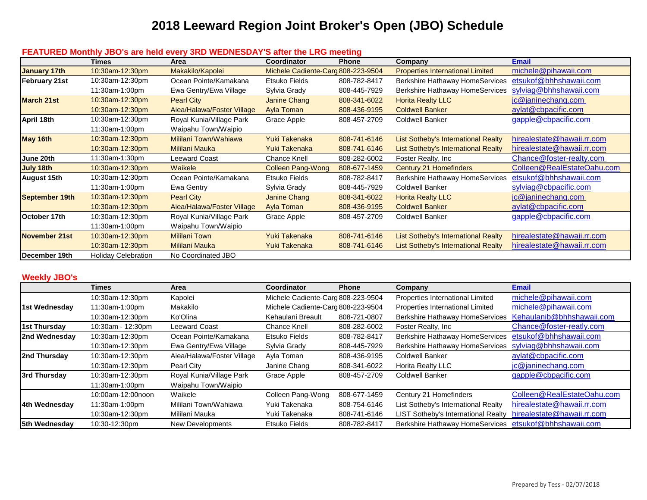### **2018 Leeward Region Joint Broker's Open (JBO) Schedule**

|                      | <b>Times</b>        | Area                       | Coordinator                        | <b>Phone</b> | Company                                    | <b>Email</b>               |
|----------------------|---------------------|----------------------------|------------------------------------|--------------|--------------------------------------------|----------------------------|
| January 17th         | 10:30am-12:30pm     | Makakilo/Kapolei           | Michele Cadiente-Carg 808-223-9504 |              | <b>Properties International Limited</b>    | michele@pihawaii.com       |
| <b>February 21st</b> | 10:30am-12:30pm     | Ocean Pointe/Kamakana      | Etsuko Fields                      | 808-782-8417 | Berkshire Hathaway HomeServices            | etsukof@bhhshawaii.com     |
|                      | 11:30am-1:00pm      | Ewa Gentry/Ewa Village     | Sylvia Grady                       | 808-445-7929 | Berkshire Hathaway HomeServices            | sylviag@bhhshawaii.com     |
| <b>March 21st</b>    | 10:30am-12:30pm     | <b>Pearl City</b>          | Janine Chang                       | 808-341-6022 | <b>Horita Realty LLC</b>                   | jc@janinechang.com         |
|                      | 10:30am-12:30pm     | Aiea/Halawa/Foster Village | Ayla Toman                         | 808-436-9195 | <b>Coldwell Banker</b>                     | aylat@cbpacific.com        |
| April 18th           | 10:30am-12:30pm     | Royal Kunia/Village Park   | Grace Apple                        | 808-457-2709 | <b>Coldwell Banker</b>                     | gapple@cbpacific.com       |
|                      | 11:30am-1:00pm      | Waipahu Town/Waipio        |                                    |              |                                            |                            |
| May 16th             | 10:30am-12:30pm     | Mililani Town/Wahiawa      | Yuki Takenaka                      | 808-741-6146 | List Sotheby's International Realty        | hirealestate@hawaii.rr.com |
|                      | 10:30am-12:30pm     | Mililani Mauka             | Yuki Takenaka                      | 808-741-6146 | <b>List Sotheby's International Realty</b> | hirealestate@hawaii.rr.com |
| June 20th            | 11:30am-1:30pm      | Leeward Coast              | Chance Knell                       | 808-282-6002 | Foster Realty, Inc                         | Chance@foster-realty.com   |
| July 18th            | 10:30am-12:30pm     | <b>Waikele</b>             | <b>Colleen Pang-Wong</b>           | 808-677-1459 | Century 21 Homefinders                     | Colleen@RealEstateOahu.com |
| <b>August 15th</b>   | 10:30am-12:30pm     | Ocean Pointe/Kamakana      | Etsuko Fields                      | 808-782-8417 | Berkshire Hathaway HomeServices            | etsukof@bhhshawaii.com     |
|                      | 11:30am-1:00pm      | <b>Ewa Gentry</b>          | Sylvia Grady                       | 808-445-7929 | <b>Coldwell Banker</b>                     | sylviag@cbpacific.com      |
| September 19th       | 10:30am-12:30pm     | <b>Pearl City</b>          | Janine Chang                       | 808-341-6022 | <b>Horita Realty LLC</b>                   | jc@janinechang.com         |
|                      | 10:30am-12:30pm     | Aiea/Halawa/Foster Village | Ayla Toman                         | 808-436-9195 | <b>Coldwell Banker</b>                     | aylat@cbpacific.com        |
| October 17th         | 10:30am-12:30pm     | Royal Kunia/Village Park   | Grace Apple                        | 808-457-2709 | <b>Coldwell Banker</b>                     | gapple@cbpacific.com       |
|                      | 11:30am-1:00pm      | Waipahu Town/Waipio        |                                    |              |                                            |                            |
| November 21st        | 10:30am-12:30pm     | <b>Mililani Town</b>       | Yuki Takenaka                      | 808-741-6146 | List Sotheby's International Realty        | hirealestate@hawaii.rr.com |
|                      | 10:30am-12:30pm     | <b>Mililani Mauka</b>      | Yuki Takenaka                      | 808-741-6146 | <b>List Sotheby's International Realty</b> | hirealestate@hawaii.rr.com |
| December 19th        | Holiday Celebration | No Coordinated JBO         |                                    |              |                                            |                            |

#### **FEATURED Monthly JBO's are held every 3RD WEDNESDAY'S after the LRG meeting**

#### **Weekly JBO's**

|                      | Times             | Area                       | Coordinator                        | <b>Phone</b> | Company                                                | <b>Email</b>               |
|----------------------|-------------------|----------------------------|------------------------------------|--------------|--------------------------------------------------------|----------------------------|
|                      | 10:30am-12:30pm   | Kapolei                    | Michele Cadiente-Carg 808-223-9504 |              | Properties International Limited                       | michele@pihawaii.com       |
| 1st Wednesday        | 11:30am-1:00pm    | Makakilo                   | Michele Cadiente-Carg 808-223-9504 |              | Properties International Limited                       | michele@pihawaii.com       |
|                      | 10:30am-12:30pm   | Ko'Olina                   | Kehaulani Breault                  | 808-721-0807 | <b>Berkshire Hathaway HomeServices</b>                 | Kehaulanib@bhhshawaii.com  |
| 1st Thursday         | 10:30am - 12:30pm | <b>Leeward Coast</b>       | Chance Knell                       | 808-282-6002 | Foster Realty, Inc.                                    | Chance@foster-reatly.com   |
| 2nd Wednesday        | 10:30am-12:30pm   | Ocean Pointe/Kamakana      | Etsuko Fields                      | 808-782-8417 | Berkshire Hathaway HomeServices                        | etsukof@bhhshawaii.com     |
|                      | 10:30am-12:30pm   | Ewa Gentry/Ewa Village     | Sylvia Grady                       | 808-445-7929 | <b>Berkshire Hathaway HomeServices</b>                 | sylviag@bhhshawaii.com     |
| 2nd Thursday         | 10:30am-12:30pm   | Aiea/Halawa/Foster Village | Ayla Toman                         | 808-436-9195 | <b>Coldwell Banker</b>                                 | aylat@cbpacific.com        |
|                      | 10:30am-12:30pm   | Pearl City                 | Janine Chang                       | 808-341-6022 | Horita Realty LLC                                      | jc@janinechang.com         |
| 3rd Thursday         | 10:30am-12:30pm   | Royal Kunia/Village Park   | Grace Apple                        | 808-457-2709 | <b>Coldwell Banker</b>                                 | gapple@cbpacific.com       |
|                      | 11:30am-1:00pm    | Waipahu Town/Waipio        |                                    |              |                                                        |                            |
|                      | 10:00am-12:00noon | Waikele                    | Colleen Pang-Wong                  | 808-677-1459 | Century 21 Homefinders                                 | Colleen@RealEstateOahu.com |
| 4th Wednesday        | 11:30am-1:00pm    | Mililani Town/Wahiawa      | Yuki Takenaka                      | 808-754-6146 | List Sotheby's International Realty                    | hirealestate@hawaii.rr.com |
|                      | 10:30am-12:30pm   | Mililani Mauka             | Yuki Takenaka                      | 808-741-6146 | LIST Sotheby's International Realty                    | hirealestate@hawaii.rr.com |
| <b>5th Wednesdav</b> | 10:30-12:30pm     | New Developments           | Etsuko Fields                      | 808-782-8417 | Berkshire Hathaway HomeServices etsukof@bhhshawaii.com |                            |